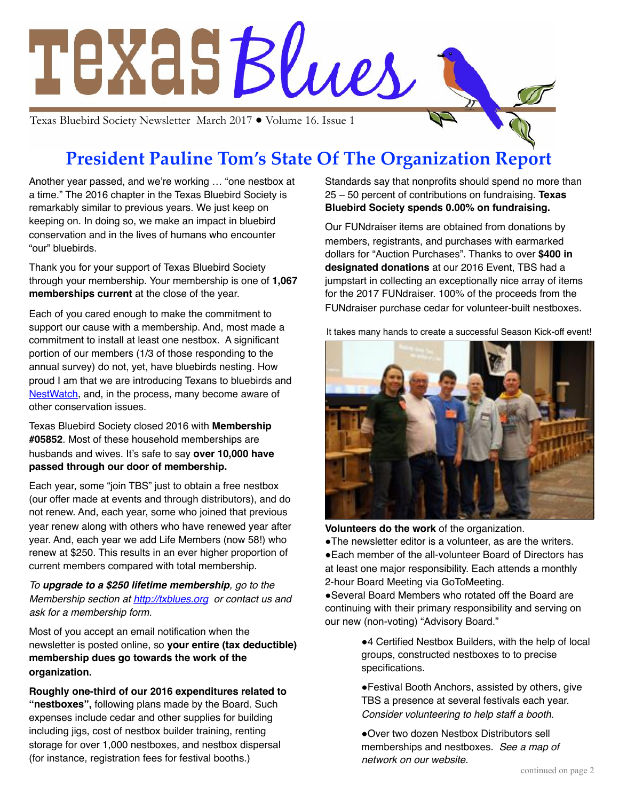

# **President Pauline Tom's State Of The Organization Report**

Another year passed, and we're working … "one nestbox at a time." The 2016 chapter in the Texas Bluebird Society is remarkably similar to previous years. We just keep on keeping on. In doing so, we make an impact in bluebird conservation and in the lives of humans who encounter "our" bluebirds.

Thank you for your support of Texas Bluebird Society through your membership. Your membership is one of **1,067 memberships current** at the close of the year.

Each of you cared enough to make the commitment to support our cause with a membership. And, most made a commitment to install at least one nestbox. A significant portion of our members (1/3 of those responding to the annual survey) do not, yet, have bluebirds nesting. How proud I am that we are introducing Texans to bluebirds and [NestWatch,](http://nestwatch.org) and, in the process, many become aware of other conservation issues.

Texas Bluebird Society closed 2016 with **Membership #05852**. Most of these household memberships are husbands and wives. It's safe to say **over 10,000 have passed through our door of membership.**

Each year, some "join TBS" just to obtain a free nestbox (our offer made at events and through distributors), and do not renew. And, each year, some who joined that previous year renew along with others who have renewed year after year. And, each year we add Life Members (now 58!) who renew at \$250. This results in an ever higher proportion of current members compared with total membership.

*To upgrade to a \$250 lifetime membership, go to the Membership section at<http://txblues.org>or contact us and ask for a membership form.*

Most of you accept an email notification when the newsletter is posted online, so **your entire (tax deductible) membership dues go towards the work of the organization.**

**Roughly one-third of our 2016 expenditures related to "nestboxes",** following plans made by the Board. Such expenses include cedar and other supplies for building including jigs, cost of nestbox builder training, renting storage for over 1,000 nestboxes, and nestbox dispersal (for instance, registration fees for festival booths.)

Standards say that nonprofits should spend no more than 25 – 50 percent of contributions on fundraising. **Texas Bluebird Society spends 0.00% on fundraising.**

Our FUNdraiser items are obtained from donations by members, registrants, and purchases with earmarked dollars for "Auction Purchases". Thanks to over **\$400 in designated donations** at our 2016 Event, TBS had a jumpstart in collecting an exceptionally nice array of items for the 2017 FUNdraiser. 100% of the proceeds from the FUNdraiser purchase cedar for volunteer-built nestboxes.

It takes many hands to create a successful Season Kick-off event!



**Volunteers do the work** of the organization.

• The newsletter editor is a volunteer, as are the writers. • Each member of the all-volunteer Board of Directors has

at least one major responsibility. Each attends a monthly 2-hour Board Meeting via GoToMeeting. **.** Several Board Members who rotated off the Board are

continuing with their primary responsibility and serving on our new (non-voting) "Advisory Board."

> ● 4 Certified Nestbox Builders, with the help of local groups, constructed nestboxes to to precise specifications.

. Festival Booth Anchors, assisted by others, give TBS a presence at several festivals each year. *Consider volunteering to help staff a booth.*

. Over two dozen Nestbox Distributors sell memberships and nestboxes. *See a map of network on our website.*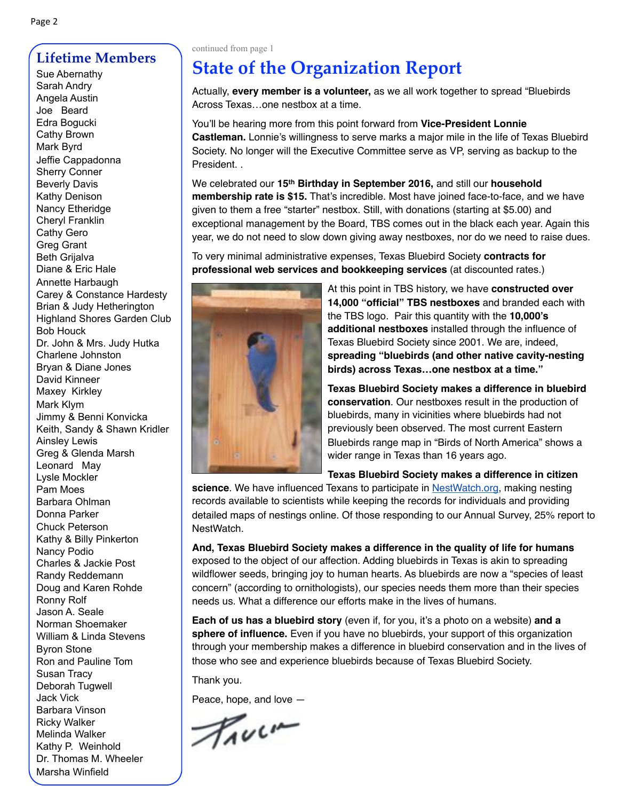## **Lifetime Members**

Sarah Andry Angela Austin Joe Beard Edra Bogucki Cathy Brown Mark Byrd Jeffie Cappadonna Sherry Conner Beverly Davis Kathy Denison Nancy Etheridge Cheryl Franklin Cathy Gero Greg Grant Beth Grijalva Diane & Eric Hale Annette Harbaugh Carey & Constance Hardesty Brian & Judy Hetherington Highland Shores Garden Club Bob Houck Dr. John & Mrs. Judy Hutka Charlene Johnston Bryan & Diane Jones David Kinneer Maxey Kirkley Mark Klym Jimmy & Benni Konvicka Keith, Sandy & Shawn Kridler Ainsley Lewis Greg & Glenda Marsh Leonard May Lysle Mockler Pam Moes Barbara Ohlman Donna Parker Chuck Peterson Kathy & Billy Pinkerton Nancy Podio Charles & Jackie Post Randy Reddemann Doug and Karen Rohde Ronny Rolf Jason A. Seale Norman Shoemaker William & Linda Stevens Byron Stone Ron and Pauline Tom Susan Tracy Deborah Tugwell Jack Vick Barbara Vinson Ricky Walker Melinda Walker Kathy P. Weinhold Dr. Thomas M. Wheeler Marsha Winfield

#### continued from page 1

## **State of the Organization Report**

Actually, **every member is a volunteer,** as we all work together to spread "Bluebirds Across Texas…one nestbox at a time.

You'll be hearing more from this point forward from **Vice-President Lonnie Castleman.** Lonnie's willingness to serve marks a major mile in the life of Texas Bluebird Society. No longer will the Executive Committee serve as VP, serving as backup to the President. .

We celebrated our **15th Birthday in September 2016,** and still our **household membership rate is \$15.** That's incredible. Most have joined face-to-face, and we have given to them a free "starter" nestbox. Still, with donations (starting at \$5.00) and exceptional management by the Board, TBS comes out in the black each year. Again this year, we do not need to slow down giving away nestboxes, nor do we need to raise dues.

To very minimal administrative expenses, Texas Bluebird Society **contracts for professional web services and bookkeeping services** (at discounted rates.)



At this point in TBS history, we have **constructed over 14,000 "official" TBS nestboxes** and branded each with the TBS logo. Pair this quantity with the **10,000's additional nestboxes** installed through the influence of Texas Bluebird Society since 2001. We are, indeed, **spreading "bluebirds (and other native cavity-nesting birds) across Texas…one nestbox at a time."**

**Texas Bluebird Society makes a difference in bluebird conservation**. Our nestboxes result in the production of bluebirds, many in vicinities where bluebirds had not previously been observed. The most current Eastern Bluebirds range map in "Birds of North America" shows a wider range in Texas than 16 years ago.

**Texas Bluebird Society makes a difference in citizen** 

**science**. We have influenced Texans to participate in [NestWatch.org,](http://nestwatch.org/) making nesting records available to scientists while keeping the records for individuals and providing detailed maps of nestings online. Of those responding to our Annual Survey, 25% report to NestWatch.

**And, Texas Bluebird Society makes a difference in the quality of life for humans** exposed to the object of our affection. Adding bluebirds in Texas is akin to spreading wildflower seeds, bringing joy to human hearts. As bluebirds are now a "species of least concern" (according to ornithologists), our species needs them more than their species needs us. What a difference our efforts make in the lives of humans.

**Each of us has a bluebird story** (even if, for you, it's a photo on a website) **and a sphere of influence.** Even if you have no bluebirds, your support of this organization through your membership makes a difference in bluebird conservation and in the lives of those who see and experience bluebirds because of Texas Bluebird Society.

Thank you.

Peace, hope, and love —

Truck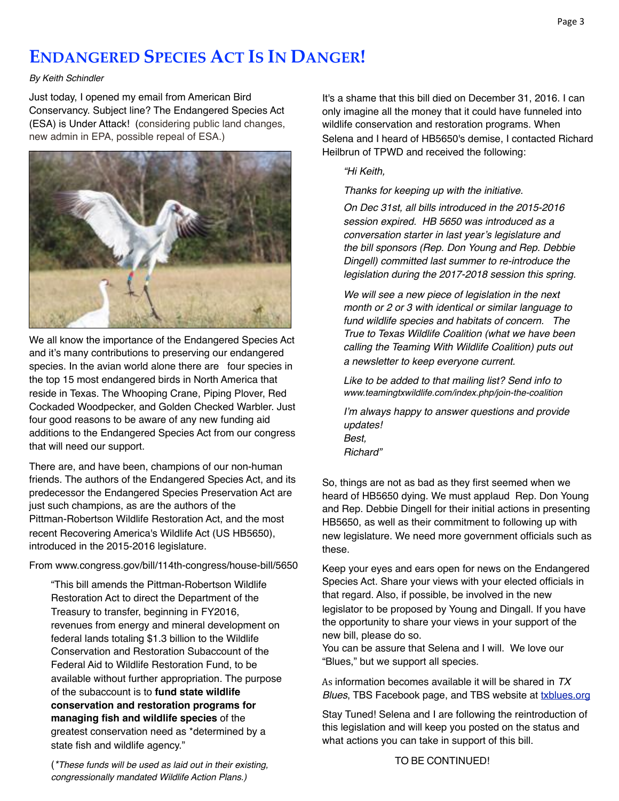## **ENDANGERED SPECIES ACT IS IN DANGER!**

#### *By Keith Schindler*

Just today, I opened my email from American Bird Conservancy. Subject line? The Endangered Species Act (ESA) is Under Attack! (considering public land changes, new admin in EPA, possible repeal of ESA.)



We all know the importance of the Endangered Species Act and it's many contributions to preserving our endangered species. In the avian world alone there are four species in the top 15 most endangered birds in North America that reside in Texas. The Whooping Crane, Piping Plover, Red Cockaded Woodpecker, and Golden Checked Warbler. Just four good reasons to be aware of any new funding aid additions to the Endangered Species Act from our congress that will need our support.

There are, and have been, champions of our non-human friends. The authors of the Endangered Species Act, and its predecessor the Endangered Species Preservation Act are just such champions, as are the authors of the Pittman-Robertson Wildlife Restoration Act, and the most recent Recovering America's Wildlife Act (US HB5650), introduced in the 2015-2016 legislature.

From [www.congress.gov/bill/114th-congress/house-bill/5650](https://www.congress.gov/bill/114th-congress/house-bill/5650)

"This bill amends the Pittman-Robertson Wildlife Restoration Act to direct the Department of the Treasury to transfer, beginning in FY2016, revenues from energy and mineral development on federal lands totaling \$1.3 billion to the Wildlife Conservation and Restoration Subaccount of the Federal Aid to Wildlife Restoration Fund, to be available without further appropriation. The purpose of the subaccount is to **fund state wildlife conservation and restoration programs for managing fish and wildlife species** of the greatest conservation need as \*determined by a state fish and wildlife agency."

It's a shame that this bill died on December 31, 2016. I can only imagine all the money that it could have funneled into wildlife conservation and restoration programs. When Selena and I heard of HB5650's demise, I contacted Richard Heilbrun of TPWD and received the following:

#### *"Hi Keith,*

*Thanks for keeping up with the initiative.* 

*On Dec 31st, all bills introduced in the 2015-2016 session expired. HB 5650 was introduced as a conversation starter in last year's legislature and the bill sponsors (Rep. Don Young and Rep. Debbie Dingell) committed last summer to re-introduce the legislation during the 2017-2018 session this spring.* 

*We will see a new piece of legislation in the next month or 2 or 3 with identical or similar language to fund wildlife species and habitats of concern. The True to Texas Wildlife Coalition (what we have been calling the Teaming With Wildlife Coalition) puts out a newsletter to keep everyone current.* 

*Like to be added to that mailing list? Send info to www.teamingtxwildlife.com/index.php/join-the-coalition*

*I'm always happy to answer questions and provide updates! Best, Richard"*

So, things are not as bad as they first seemed when we heard of HB5650 dying. We must applaud Rep. Don Young and Rep. Debbie Dingell for their initial actions in presenting HB5650, as well as their commitment to following up with new legislature. We need more government officials such as these.

Keep your eyes and ears open for news on the Endangered Species Act. Share your views with your elected officials in that regard. Also, if possible, be involved in the new legislator to be proposed by Young and Dingall. If you have the opportunity to share your views in your support of the new bill, please do so.

You can be assure that Selena and I will. We love our "Blues," but we support all species.

As information becomes available it will be shared in  $TX$ **Blues, TBS Facebook page, and TBS website at [txblues.org](http://txblues.org)** 

Stay Tuned! Selena and I are following the reintroduction of this legislation and will keep you posted on the status and what actions you can take in support of this bill.

(*\*These funds will be used as laid out in their existing, congressionally mandated Wildlife Action Plans.)* 

TO BE CONTINUED!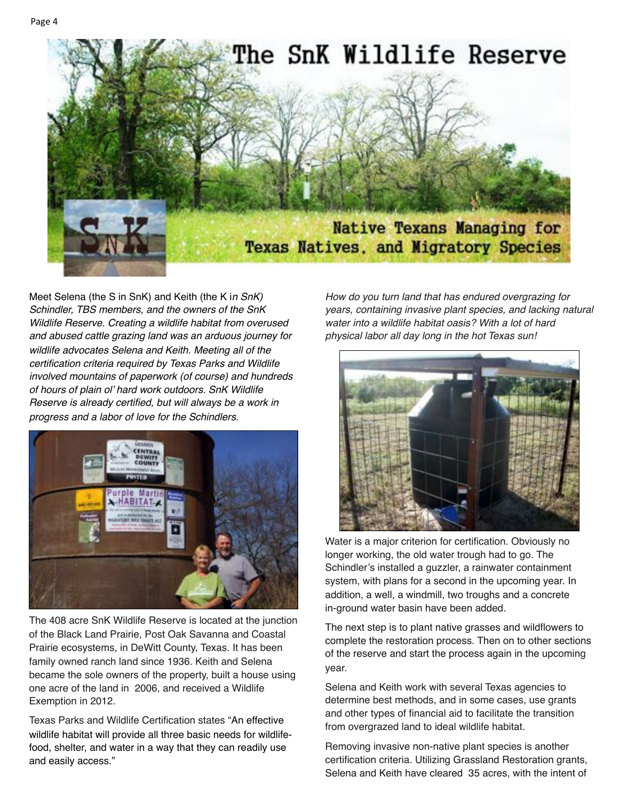

Meet Selena (the S in SnK) and Keith (the K i*n SnK) Schindler, TBS members, and the owners of the SnK Wildlife Reserve. Creating a wildlife habitat from overused and abused cattle grazing land was an arduous journey for wildlife advocates Selena and Keith. Meeting all of the certification criteria required by Texas Parks and Wildlife involved mountains of paperwork (of course) and hundreds of hours of plain ol' hard work outdoors. SnK Wildlife Reserve is already certified, but will always be a work in progress and a labor of love for the Schindlers.*



The 408 acre SnK Wildlife Reserve is located at the junction of the Black Land Prairie, Post Oak Savanna and Coastal Prairie ecosystems, in DeWitt County, Texas. It has been family owned ranch land since 1936. Keith and Selena became the sole owners of the property, built a house using one acre of the land in 2006, and received a Wildlife Exemption in 2012.

Texas Parks and Wildlife Certification states "An effective wildlife habitat will provide all three basic needs for wildlifefood, shelter, and water in a way that they can readily use and easily access."

*How do you turn land that has endured overgrazing for years, containing invasive plant species, and lacking natural water into a wildlife habitat oasis? With a lot of hard physical labor all day long in the hot Texas sun!*



Water is a major criterion for certification. Obviously no longer working, the old water trough had to go. The Schindler's installed a guzzler, a rainwater containment system, with plans for a second in the upcoming year. In addition, a well, a windmill, two troughs and a concrete in-ground water basin have been added.

The next step is to plant native grasses and wildflowers to complete the restoration process. Then on to other sections of the reserve and start the process again in the upcoming year.

Selena and Keith work with several Texas agencies to determine best methods, and in some cases, use grants and other types of financial aid to facilitate the transition from overgrazed land to ideal wildlife habitat.

Removing invasive non-native plant species is another certification criteria. Utilizing Grassland Restoration grants, Selena and Keith have cleared 35 acres, with the intent of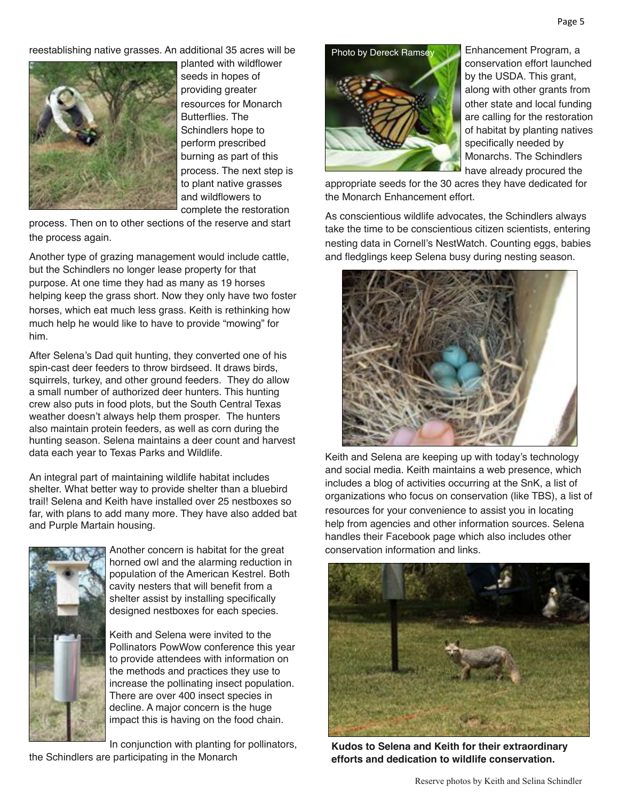reestablishing native grasses. An additional 35 acres will be



planted with wildflower seeds in hopes of providing greater resources for Monarch Butterflies. The Schindlers hope to perform prescribed burning as part of this process. The next step is to plant native grasses and wildflowers to complete the restoration

process. Then on to other sections of the reserve and start the process again.

Another type of grazing management would include cattle, but the Schindlers no longer lease property for that purpose. At one time they had as many as 19 horses helping keep the grass short. Now they only have two foster horses, which eat much less grass. Keith is rethinking how much help he would like to have to provide "mowing" for him.

After Selena's Dad quit hunting, they converted one of his spin-cast deer feeders to throw birdseed. It draws birds, squirrels, turkey, and other ground feeders. They do allow a small number of authorized deer hunters. This hunting crew also puts in food plots, but the South Central Texas weather doesn't always help them prosper. The hunters also maintain protein feeders, as well as corn during the hunting season. Selena maintains a deer count and harvest data each year to Texas Parks and Wildlife.

An integral part of maintaining wildlife habitat includes shelter. What better way to provide shelter than a bluebird trail! Selena and Keith have installed over 25 nestboxes so far, with plans to add many more. They have also added bat and Purple Martain housing.



Another concern is habitat for the great horned owl and the alarming reduction in population of the American Kestrel. Both cavity nesters that will benefit from a shelter assist by installing specifically designed nestboxes for each species.

Keith and Selena were invited to the Pollinators PowWow conference this year to provide attendees with information on the methods and practices they use to increase the pollinating insect population. There are over 400 insect species in decline. A major concern is the huge impact this is having on the food chain.

In conjunction with planting for pollinators,

the Schindlers are participating in the Monarch

Photo by Dereck Ramsey



Enhancement Program, a conservation effort launched by the USDA. This grant, along with other grants from other state and local funding are calling for the restoration of habitat by planting natives specifically needed by Monarchs. The Schindlers have already procured the

appropriate seeds for the 30 acres they have dedicated for the Monarch Enhancement effort.

As conscientious wildlife advocates, the Schindlers always take the time to be conscientious citizen scientists, entering nesting data in Cornell's NestWatch. Counting eggs, babies and fledglings keep Selena busy during nesting season.



Keith and Selena are keeping up with today's technology and social media. Keith maintains a web presence, which includes a blog of activities occurring at the SnK, a list of organizations who focus on conservation (like TBS), a list of resources for your convenience to assist you in locating help from agencies and other information sources. Selena handles their Facebook page which also includes other conservation information and links.



**Kudos to Selena and Keith for their extraordinary efforts and dedication to wildlife conservation.**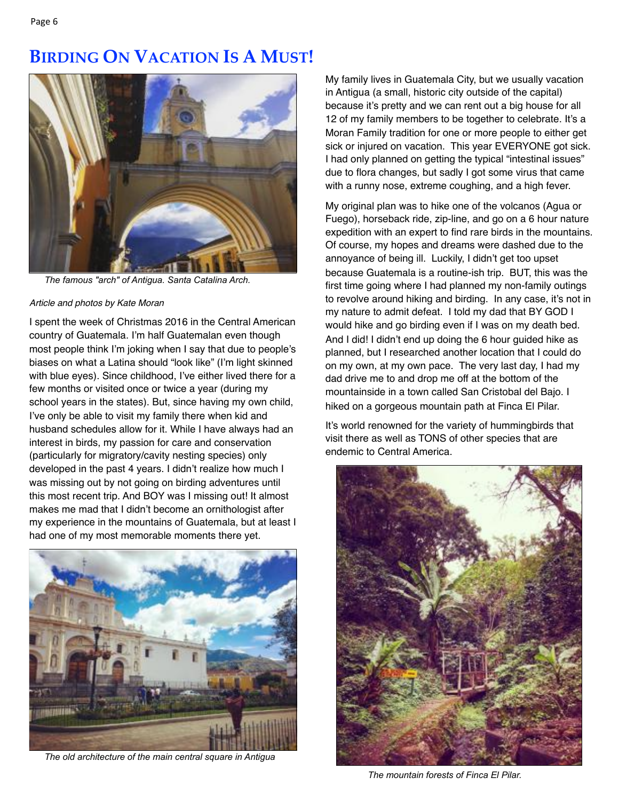## **BIRDING ON VACATION IS A MUST!**



*The famous "arch" of Antigua. Santa Catalina Arch.*

#### *Article and photos by Kate Moran*

I spent the week of Christmas 2016 in the Central American country of Guatemala. I'm half Guatemalan even though most people think I'm joking when I say that due to people's biases on what a Latina should "look like" (I'm light skinned with blue eyes). Since childhood, I've either lived there for a few months or visited once or twice a year (during my school years in the states). But, since having my own child, I've only be able to visit my family there when kid and husband schedules allow for it. While I have always had an interest in birds, my passion for care and conservation (particularly for migratory/cavity nesting species) only developed in the past 4 years. I didn't realize how much I was missing out by not going on birding adventures until this most recent trip. And BOY was I missing out! It almost makes me mad that I didn't become an ornithologist after my experience in the mountains of Guatemala, but at least I had one of my most memorable moments there yet.



*The old architecture of the main central square in Antigua*

My family lives in Guatemala City, but we usually vacation in Antigua (a small, historic city outside of the capital) because it's pretty and we can rent out a big house for all 12 of my family members to be together to celebrate. It's a Moran Family tradition for one or more people to either get sick or injured on vacation. This year EVERYONE got sick. I had only planned on getting the typical "intestinal issues" due to flora changes, but sadly I got some virus that came with a runny nose, extreme coughing, and a high fever.

My original plan was to hike one of the volcanos (Agua or Fuego), horseback ride, zip-line, and go on a 6 hour nature expedition with an expert to find rare birds in the mountains. Of course, my hopes and dreams were dashed due to the annoyance of being ill. Luckily, I didn't get too upset because Guatemala is a routine-ish trip. BUT, this was the first time going where I had planned my non-family outings to revolve around hiking and birding. In any case, it's not in my nature to admit defeat. I told my dad that BY GOD I would hike and go birding even if I was on my death bed. And I did! I didn't end up doing the 6 hour quided hike as planned, but I researched another location that I could do on my own, at my own pace. The very last day, I had my dad drive me to and drop me off at the bottom of the mountainside in a town called San Cristobal del Bajo. I hiked on a gorgeous mountain path at Finca El Pilar.

It's world renowned for the variety of hummingbirds that visit there as well as TONS of other species that are endemic to Central America.



*The mountain forests of Finca El Pilar.*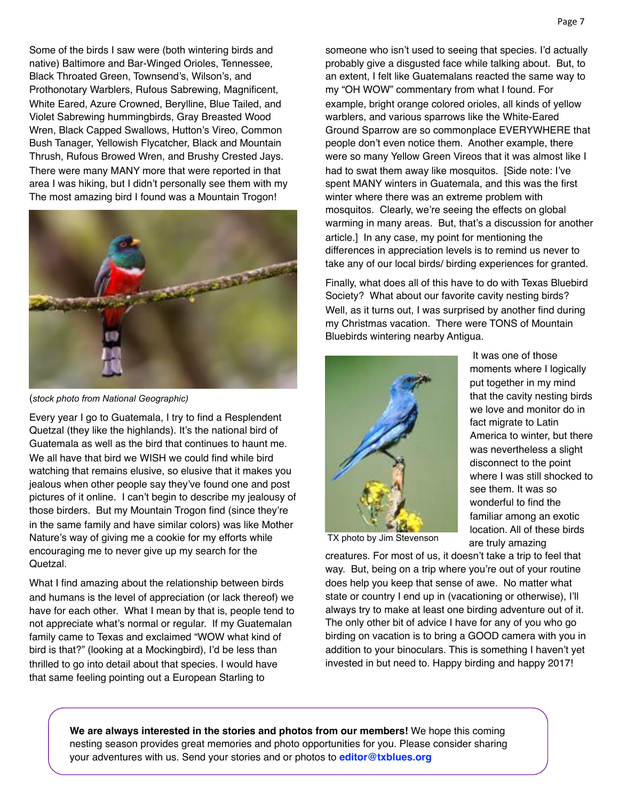Some of the birds I saw were (both wintering birds and native) Baltimore and Bar-Winged Orioles, Tennessee, Black Throated Green, Townsend's, Wilson's, and Prothonotary Warblers, Rufous Sabrewing, Magnificent, White Eared, Azure Crowned, Berylline, Blue Tailed, and Violet Sabrewing hummingbirds, Gray Breasted Wood Wren, Black Capped Swallows, Hutton's Vireo, Common Bush Tanager, Yellowish Flycatcher, Black and Mountain Thrush, Rufous Browed Wren, and Brushy Crested Jays. There were many MANY more that were reported in that area I was hiking, but I didn't personally see them with my The most amazing bird I found was a Mountain Trogon!



(*stock photo from National Geographic)*

Every year I go to Guatemala, I try to find a Resplendent Quetzal (they like the highlands). It's the national bird of Guatemala as well as the bird that continues to haunt me. We all have that bird we WISH we could find while bird watching that remains elusive, so elusive that it makes you jealous when other people say they've found one and post pictures of it online. I can't begin to describe my jealousy of those birders. But my Mountain Trogon find (since they're in the same family and have similar colors) was like Mother Nature's way of giving me a cookie for my efforts while encouraging me to never give up my search for the Quetzal.

What I find amazing about the relationship between birds and humans is the level of appreciation (or lack thereof) we have for each other. What I mean by that is, people tend to not appreciate what's normal or regular. If my Guatemalan family came to Texas and exclaimed "WOW what kind of bird is that?" (looking at a Mockingbird), I'd be less than thrilled to go into detail about that species. I would have that same feeling pointing out a European Starling to

someone who isn't used to seeing that species. I'd actually probably give a disgusted face while talking about. But, to an extent, I felt like Guatemalans reacted the same way to my "OH WOW" commentary from what I found. For example, bright orange colored orioles, all kinds of yellow warblers, and various sparrows like the White-Eared Ground Sparrow are so commonplace EVERYWHERE that people don't even notice them. Another example, there were so many Yellow Green Vireos that it was almost like I had to swat them away like mosquitos. [Side note: I've spent MANY winters in Guatemala, and this was the first winter where there was an extreme problem with mosquitos. Clearly, we're seeing the effects on global warming in many areas. But, that's a discussion for another article.] In any case, my point for mentioning the differences in appreciation levels is to remind us never to take any of our local birds/ birding experiences for granted.

Finally, what does all of this have to do with Texas Bluebird Society? What about our favorite cavity nesting birds? Well, as it turns out, I was surprised by another find during my Christmas vacation. There were TONS of Mountain Bluebirds wintering nearby Antigua.



 It was one of those moments where I logically put together in my mind that the cavity nesting birds we love and monitor do in fact migrate to Latin America to winter, but there was nevertheless a slight disconnect to the point where I was still shocked to see them. It was so wonderful to find the familiar among an exotic location. All of these birds are truly amazing

TX photo by Jim Stevenson

creatures. For most of us, it doesn't take a trip to feel that way. But, being on a trip where you're out of your routine does help you keep that sense of awe. No matter what state or country I end up in (vacationing or otherwise), I'll always try to make at least one birding adventure out of it. The only other bit of advice I have for any of you who go birding on vacation is to bring a GOOD camera with you in addition to your binoculars. This is something I haven't yet invested in but need to. Happy birding and happy 2017!

**We are always interested in the stories and photos from our members!** We hope this coming nesting season provides great memories and photo opportunities for you. Please consider sharing your adventures with us. Send your stories and or photos to **editor@txblues.org**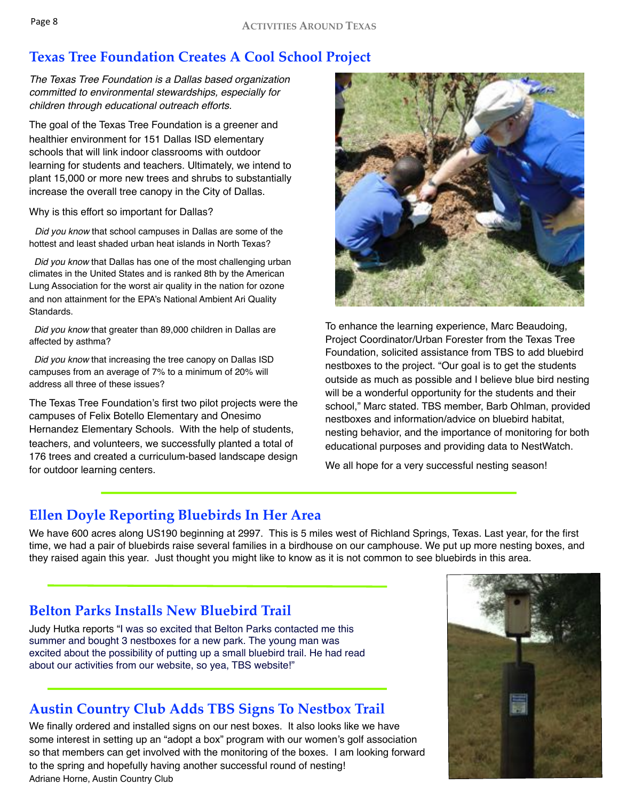## **Texas Tree Foundation Creates A Cool School Project**

*The Texas Tree Foundation is a Dallas based organization committed to environmental stewardships, especially for children through educational outreach efforts.*

The goal of the Texas Tree Foundation is a greener and healthier environment for 151 Dallas ISD elementary schools that will link indoor classrooms with outdoor learning for students and teachers. Ultimately, we intend to plant 15,000 or more new trees and shrubs to substantially increase the overall tree canopy in the City of Dallas.

Why is this effort so important for Dallas?

 *Did you know* that school campuses in Dallas are some of the hottest and least shaded urban heat islands in North Texas?

 *Did you know* that Dallas has one of the most challenging urban climates in the United States and is ranked 8th by the American Lung Association for the worst air quality in the nation for ozone and non attainment for the EPA's National Ambient Ari Quality Standards.

 *Did you know* that greater than 89,000 children in Dallas are affected by asthma?

 *Did you know* that increasing the tree canopy on Dallas ISD campuses from an average of 7% to a minimum of 20% will address all three of these issues?

The Texas Tree Foundation's first two pilot projects were the campuses of Felix Botello Elementary and Onesimo Hernandez Elementary Schools. With the help of students, teachers, and volunteers, we successfully planted a total of 176 trees and created a curriculum-based landscape design for outdoor learning centers.



To enhance the learning experience, Marc Beaudoing, Project Coordinator/Urban Forester from the Texas Tree Foundation, solicited assistance from TBS to add bluebird nestboxes to the project. "Our goal is to get the students outside as much as possible and I believe blue bird nesting will be a wonderful opportunity for the students and their school," Marc stated. TBS member, Barb Ohlman, provided nestboxes and information/advice on bluebird habitat, nesting behavior, and the importance of monitoring for both educational purposes and providing data to NestWatch.

We all hope for a very successful nesting season!

## **Ellen Doyle Reporting Bluebirds In Her Area**

We have 600 acres along US190 beginning at 2997. This is 5 miles west of Richland Springs, Texas. Last year, for the first time, we had a pair of bluebirds raise several families in a birdhouse on our camphouse. We put up more nesting boxes, and they raised again this year. Just thought you might like to know as it is not common to see bluebirds in this area.

## **Belton Parks Installs New Bluebird Trail**

Judy Hutka reports "I was so excited that Belton Parks contacted me this summer and bought 3 nestboxes for a new park. The young man was excited about the possibility of putting up a small bluebird trail. He had read about our activities from our website, so yea, TBS website!"

## **Austin Country Club Adds TBS Signs To Nestbox Trail**

We finally ordered and installed signs on our nest boxes. It also looks like we have some interest in setting up an "adopt a box" program with our women's golf association so that members can get involved with the monitoring of the boxes. I am looking forward to the spring and hopefully having another successful round of nesting! Adriane Horne, Austin Country Club

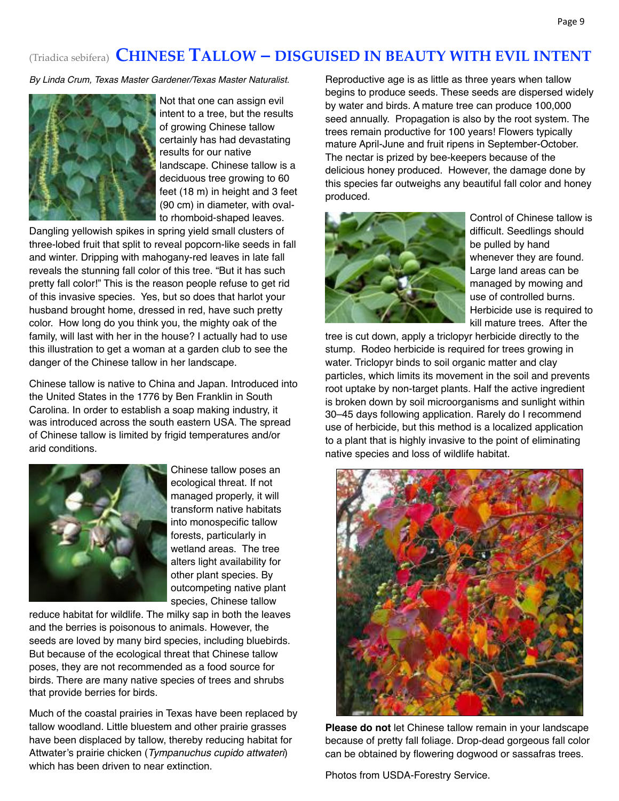## (Triadica sebifera) **CHINESE TALLOW – DISGUISED IN BEAUTY WITH EVIL INTENT**

*By Linda Crum, Texas Master Gardener/Texas Master Naturalist.*



Not that one can assign evil intent to a tree, but the results of growing Chinese tallow certainly has had devastating results for our native landscape. Chinese tallow is a deciduous tree growing to 60 feet (18 m) in height and 3 feet (90 cm) in diameter, with ovalto rhomboid-shaped leaves.

Dangling yellowish spikes in spring yield small clusters of three-lobed fruit that split to reveal popcorn-like seeds in fall and winter. Dripping with mahogany-red leaves in late fall reveals the stunning fall color of this tree. "But it has such pretty fall color!" This is the reason people refuse to get rid of this invasive species. Yes, but so does that harlot your husband brought home, dressed in red, have such pretty color. How long do you think you, the mighty oak of the family, will last with her in the house? I actually had to use this illustration to get a woman at a garden club to see the danger of the Chinese tallow in her landscape.

Chinese tallow is native to China and Japan. Introduced into the United States in the 1776 by Ben Franklin in South Carolina. In order to establish a soap making industry, it was introduced across the south eastern USA. The spread of Chinese tallow is limited by frigid temperatures and/or arid conditions.



Chinese tallow poses an ecological threat. If not managed properly, it will transform native habitats into monospecific tallow forests, particularly in wetland areas. The tree alters light availability for other plant species. By outcompeting native plant species, Chinese tallow

reduce habitat for wildlife. The milky sap in both the leaves and the berries is poisonous to animals. However, the seeds are loved by many bird species, including bluebirds. But because of the ecological threat that Chinese tallow poses, they are not recommended as a food source for birds. There are many native species of trees and shrubs that provide berries for birds.

Much of the coastal prairies in Texas have been replaced by tallow woodland. Little bluestem and other prairie grasses have been displaced by tallow, thereby reducing habitat for Attwater's prairie chicken (*Tympanuchus cupido attwateri*) which has been driven to near extinction.

Reproductive age is as little as three years when tallow begins to produce seeds. These seeds are dispersed widely by water and birds. A mature tree can produce 100,000 seed annually. Propagation is also by the root system. The trees remain productive for 100 years! Flowers typically mature April-June and fruit ripens in September-October. The nectar is prized by bee-keepers because of the delicious honey produced. However, the damage done by this species far outweighs any beautiful fall color and honey produced.



Control of Chinese tallow is difficult. Seedlings should be pulled by hand whenever they are found. Large land areas can be managed by mowing and use of controlled burns. Herbicide use is required to kill mature trees. After the

tree is cut down, apply a triclopyr herbicide directly to the stump. Rodeo herbicide is required for trees growing in water. Triclopyr binds to soil organic matter and clay particles, which limits its movement in the soil and prevents root uptake by non-target plants. Half the active ingredient is broken down by soil microorganisms and sunlight within 30–45 days following application. Rarely do I recommend use of herbicide, but this method is a localized application to a plant that is highly invasive to the point of eliminating native species and loss of wildlife habitat.



**Please do not** let Chinese tallow remain in your landscape because of pretty fall foliage. Drop-dead gorgeous fall color can be obtained by flowering dogwood or sassafras trees.

Photos from USDA-Forestry Service.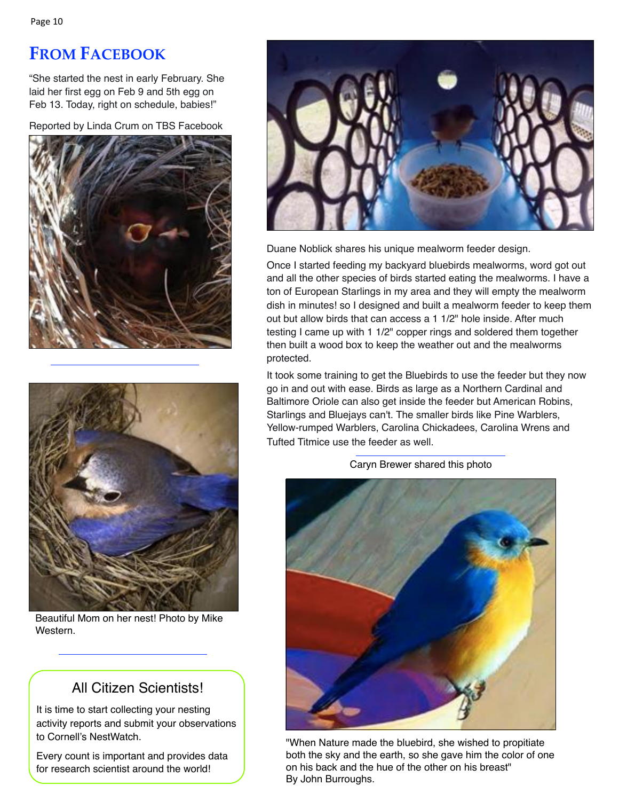# **FROM FACEBOOK**

"She started the nest in early February. She laid her first egg on Feb 9 and 5th egg on Feb 13. Today, right on schedule, babies!"

Reported by Linda Crum on TBS Facebook





Beautiful Mom on her nest! Photo by Mike Western.

## All Citizen Scientists!

It is time to start collecting your nesting activity reports and submit your observations to Cornell's NestWatch.

Every count is important and provides data for research scientist around the world!



Duane Noblick shares his unique mealworm feeder design.

Once I started feeding my backyard bluebirds mealworms, word got out and all the other species of birds started eating the mealworms. I have a ton of European Starlings in my area and they will empty the mealworm dish in minutes! so I designed and built a mealworm feeder to keep them out but allow birds that can access a 1 1/2" hole inside. After much testing I came up with 1 1/2" copper rings and soldered them together then built a wood box to keep the weather out and the mealworms protected.

It took some training to get the Bluebirds to use the feeder but they now go in and out with ease. Birds as large as a Northern Cardinal and Baltimore Oriole can also get inside the feeder but American Robins, Starlings and Bluejays can't. The smaller birds like Pine Warblers, Yellow-rumped Warblers, Carolina Chickadees, Carolina Wrens and Tufted Titmice use the feeder as well.



Caryn Brewer shared this photo

"When Nature made the bluebird, she wished to propitiate both the sky and the earth, so she gave him the color of one on his back and the hue of the other on his breast" By John Burroughs.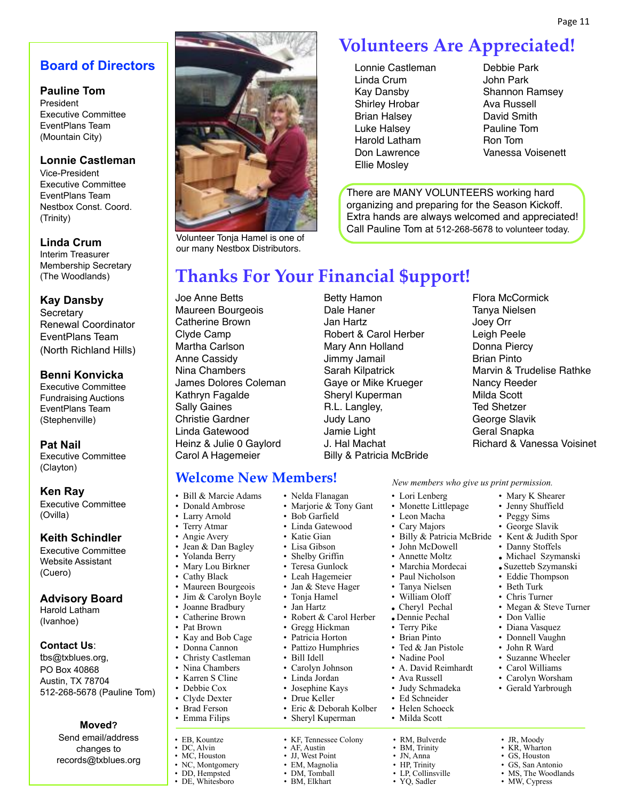## **Board of Directors**

#### **Pauline Tom**

President Executive Committee EventPlans Team (Mountain City)

#### **Lonnie Castleman**

Vice-President Executive Committee EventPlans Team Nestbox Const. Coord. (Trinity)

#### **Linda Crum**

Interim Treasurer Membership Secretary (The Woodlands)

#### **Kay Dansby**

**Secretary** Renewal Coordinator EventPlans Team (North Richland Hills)

#### **Benni Konvicka**

Executive Committee Fundraising Auctions EventPlans Team (Stephenville)

**Pat Nail** Executive Committee

(Clayton)

#### **Ken Ray**

Executive Committee (Ovilla)

#### **Keith Schindler**

Executive Committee Website Assistant (Cuero)

#### **Advisory Board**

Harold Latham (Ivanhoe)

#### **Contact Us**:

tbs@txblues.org, PO Box 40868 Austin, TX 78704 512-268-5678 (Pauline Tom)

#### **Moved?**

Send email/address changes to records@txblues.org



Volunteer Tonja Hamel is one of our many Nestbox Distributors.

# **Volunteers Are Appreciated!**

- Lonnie Castleman Linda Crum Kay Dansby Shirley Hrobar Brian Halsey Luke Halsey Harold Latham Don Lawrence Ellie Mosley
- Debbie Park John Park Shannon Ramsey Ava Russell David Smith Pauline Tom Ron Tom Vanessa Voisenett

There are MANY VOLUNTEERS working hard organizing and preparing for the Season Kickoff. Extra hands are always welcomed and appreciated! Call Pauline Tom at 512-268-5678 to volunteer today.

## **Thanks For Your Financial \$upport!**

• Nelda Flanagan

• Leah Hagemeier • Jan & Steve Hager • Tonja Hamel • Jan Hartz

• Gregg Hickman • Patricia Horton Pattizo Humphries • Bill Idell • Carolyn Johnson • Linda Jordan • Josephine Kays • Drue Keller

• Eric & Deborah Kolber • Sheryl Kuperman

• KF, Tennessee Colony • AF, Austin • JJ, West Point • EM, Magnolia • DM Tomball • BM, Elkhart

• Katie Gian

Joe Anne Betts Maureen Bourgeois Catherine Brown Clyde Camp Martha Carlson Anne Cassidy Nina Chambers James Dolores Coleman Kathryn Fagalde Sally Gaines Christie Gardner Linda Gatewood Heinz & Julie 0 Gaylord Carol A Hagemeier

• Bill & Marcie Adams • Donald Ambrose • Larry Arnold • Terry Atmar • Angie Avery • Jean & Dan Bagley • Yolanda Berry • Mary Lou Birkner • Cathy Black • Maureen Bourgeois • Jim & Carolyn Boyle • Joanne Bradbury • Catherine Brown • Pat Brown • Kay and Bob Cage • Donna Cannon • Christy Castleman • Nina Chambers • Karren S Cline • Debbie Cox • Clyde Dexter • Brad Ferson • Emma Filips

• EB, Kountze • DC, Alvin • MC, Houston • NC, Montgomery • DD, Hempsted • DE, Whitesboro

Betty Hamon Dale Haner Jan Hartz Robert & Carol Herber Mary Ann Holland Jimmy Jamail Sarah Kilpatrick Gaye or Mike Krueger Sheryl Kuperman R.L. Langley, Judy Lano Jamie Light J. Hal Machat Billy & Patricia McBride Flora McCormick Tanya Nielsen Joey Orr Leigh Peele Donna Piercy Brian Pinto Marvin & Trudelise Rathke Nancy Reeder Milda Scott Ted Shetzer George Slavik Geral Snapka Richard & Vanessa Voisinet

> • Mary K Shearer • Jenny Shuffield • Peggy Sims • George Slavik • Kent & Judith Spor • Danny Stoffels • Michael Szymanski

**Welcome New Members!** *New members who give us print permission.*

- Lori Lenberg
- Monette Littlepage
- Leon Macha
- Cary Majors
- Billy & Patricia McBride
- John McDowell
- Annette Moltz
- Marchia Mordecai
- Paul Nicholson
- Tanya Nielsen<br>• William Oloff
- William Oloff
- Cheryl Pechal
- •Dennie Pechal
- 
- 
- 
- 
- Ava Russell
- Judy Schmadeka
- 
- 
- 
- RM, Bulverde
- BM, Trinity
	-

• LP, Collinsville

• YQ, Sadler

- JR, Moody • KR, Wharton
- GS, Houston
- GS, San Antonio
- MS, The Woodlands
- MW, Cypress
- Marjorie & Tony Gant • Bob Garfield • Linda Gatewood • Lisa Gibson • Shelby Griffin Teresa Gunlock
	- -
		-
		-
- Robert & Carol Herber
	- Terry Pike
	- Brian Pinto
		- Ted & Jan Pistole
		- Nadine Pool
		- A. David Reimhardt
		-
		-
		- Ed Schneider
		- Helen Schoeck
		- Milda Scott
			-
			-
		- JN, Anna
			-
		- HP. Trinity
			-
- •Suzetteb Szymanski • Eddie Thompson • Beth Turk
	- - Chris Turner
			- Megan & Steve Turner
			- Don Vallie
			- Diana Vasquez
			- Donnell Vaughn
			- John R Ward
			- Suzanne Wheeler • Carol Williams • Carolyn Worsham

• Gerald Yarbrough